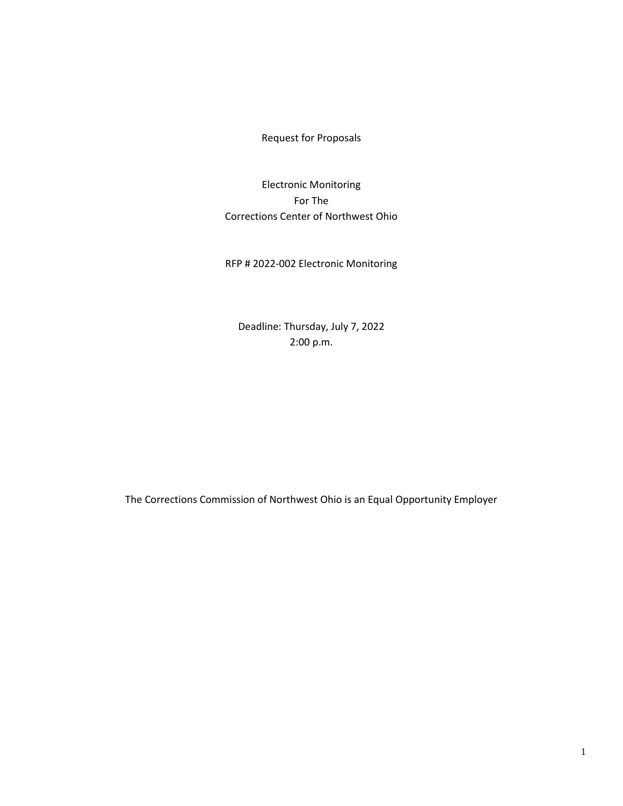Request for Proposals

Electronic Monitoring For The Corrections Center of Northwest Ohio

RFP # 2022-002 Electronic Monitoring

Deadline: Thursday, July 7, 2022 2:00 p.m.

The Corrections Commission of Northwest Ohio is an Equal Opportunity Employer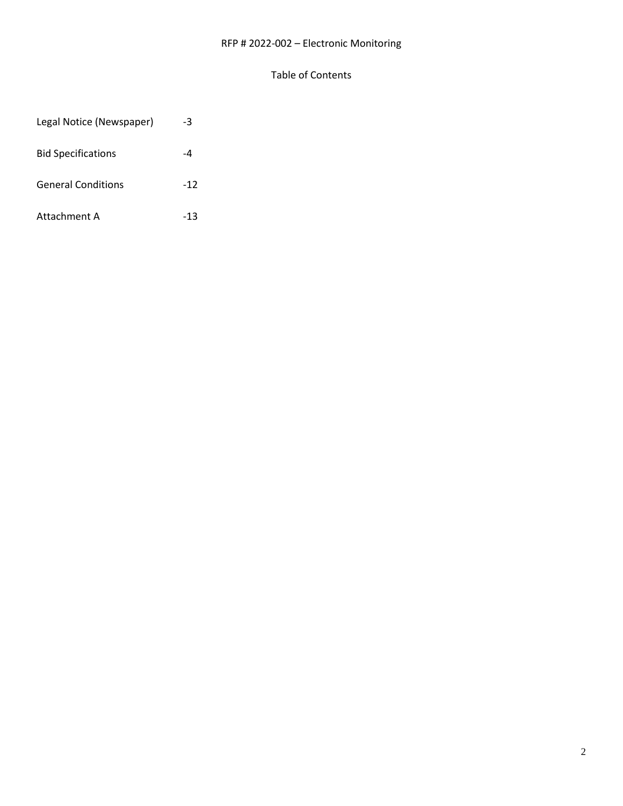# RFP # 2022-002 – Electronic Monitoring

### Table of Contents

| Legal Notice (Newspaper)  | -3    |
|---------------------------|-------|
| <b>Bid Specifications</b> | -4    |
| <b>General Conditions</b> | $-12$ |
| Attachment A              | -13   |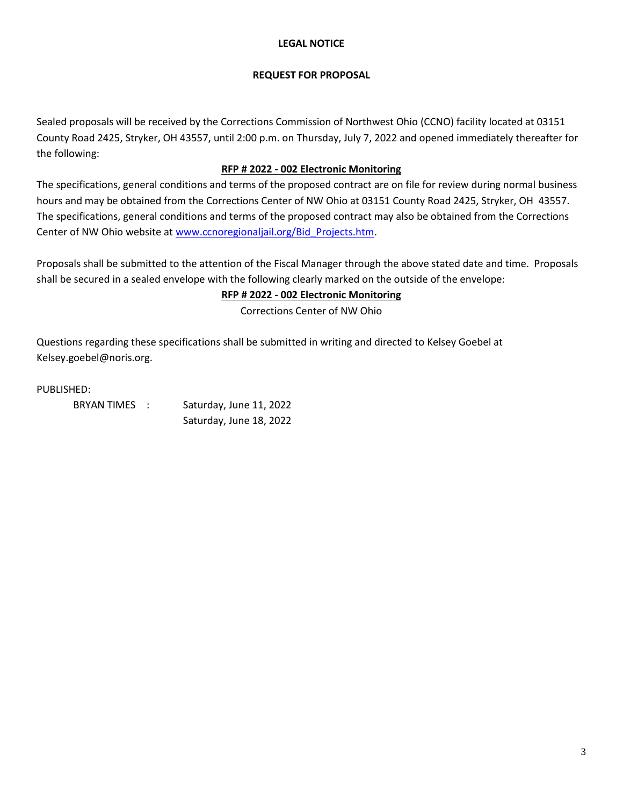### **LEGAL NOTICE**

#### **REQUEST FOR PROPOSAL**

Sealed proposals will be received by the Corrections Commission of Northwest Ohio (CCNO) facility located at 03151 County Road 2425, Stryker, OH 43557, until 2:00 p.m. on Thursday, July 7, 2022 and opened immediately thereafter for the following:

# **RFP # 2022 - 002 Electronic Monitoring**

The specifications, general conditions and terms of the proposed contract are on file for review during normal business hours and may be obtained from the Corrections Center of NW Ohio at 03151 County Road 2425, Stryker, OH 43557. The specifications, general conditions and terms of the proposed contract may also be obtained from the Corrections Center of NW Ohio website a[t www.ccnoregionaljail.org/Bid\\_Projects.htm.](http://www.ccnoregionaljail.org/Bid_Projects.htm)

Proposals shall be submitted to the attention of the Fiscal Manager through the above stated date and time. Proposals shall be secured in a sealed envelope with the following clearly marked on the outside of the envelope:

# **RFP # 2022 - 002 Electronic Monitoring**

Corrections Center of NW Ohio

Questions regarding these specifications shall be submitted in writing and directed to Kelsey Goebel at Kelsey.goebel@noris.org.

PUBLISHED:

| BRYAN TIMES : | Saturday, June 11, 2022 |  |
|---------------|-------------------------|--|
|               | Saturday, June 18, 2022 |  |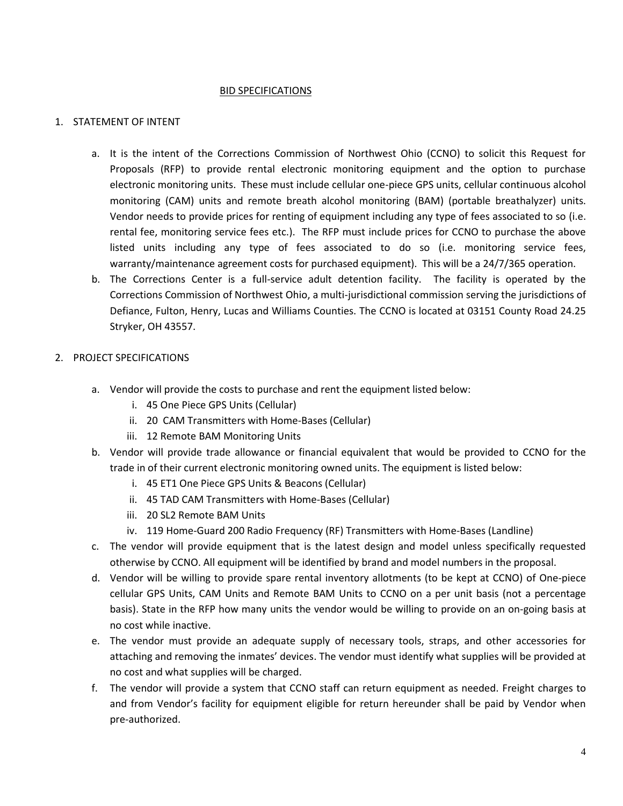#### BID SPECIFICATIONS

#### 1. STATEMENT OF INTENT

- a. It is the intent of the Corrections Commission of Northwest Ohio (CCNO) to solicit this Request for Proposals (RFP) to provide rental electronic monitoring equipment and the option to purchase electronic monitoring units. These must include cellular one-piece GPS units, cellular continuous alcohol monitoring (CAM) units and remote breath alcohol monitoring (BAM) (portable breathalyzer) units. Vendor needs to provide prices for renting of equipment including any type of fees associated to so (i.e. rental fee, monitoring service fees etc.). The RFP must include prices for CCNO to purchase the above listed units including any type of fees associated to do so (i.e. monitoring service fees, warranty/maintenance agreement costs for purchased equipment). This will be a 24/7/365 operation.
- b. The Corrections Center is a full-service adult detention facility. The facility is operated by the Corrections Commission of Northwest Ohio, a multi-jurisdictional commission serving the jurisdictions of Defiance, Fulton, Henry, Lucas and Williams Counties. The CCNO is located at 03151 County Road 24.25 Stryker, OH 43557.

### 2. PROJECT SPECIFICATIONS

- a. Vendor will provide the costs to purchase and rent the equipment listed below:
	- i. 45 One Piece GPS Units (Cellular)
	- ii. 20 CAM Transmitters with Home-Bases (Cellular)
	- iii. 12 Remote BAM Monitoring Units
- b. Vendor will provide trade allowance or financial equivalent that would be provided to CCNO for the trade in of their current electronic monitoring owned units. The equipment is listed below:
	- i. 45 ET1 One Piece GPS Units & Beacons (Cellular)
	- ii. 45 TAD CAM Transmitters with Home-Bases (Cellular)
	- iii. 20 SL2 Remote BAM Units
	- iv. 119 Home-Guard 200 Radio Frequency (RF) Transmitters with Home-Bases (Landline)
- c. The vendor will provide equipment that is the latest design and model unless specifically requested otherwise by CCNO. All equipment will be identified by brand and model numbers in the proposal.
- d. Vendor will be willing to provide spare rental inventory allotments (to be kept at CCNO) of One-piece cellular GPS Units, CAM Units and Remote BAM Units to CCNO on a per unit basis (not a percentage basis). State in the RFP how many units the vendor would be willing to provide on an on-going basis at no cost while inactive.
- e. The vendor must provide an adequate supply of necessary tools, straps, and other accessories for attaching and removing the inmates' devices. The vendor must identify what supplies will be provided at no cost and what supplies will be charged.
- f. The vendor will provide a system that CCNO staff can return equipment as needed. Freight charges to and from Vendor's facility for equipment eligible for return hereunder shall be paid by Vendor when pre-authorized.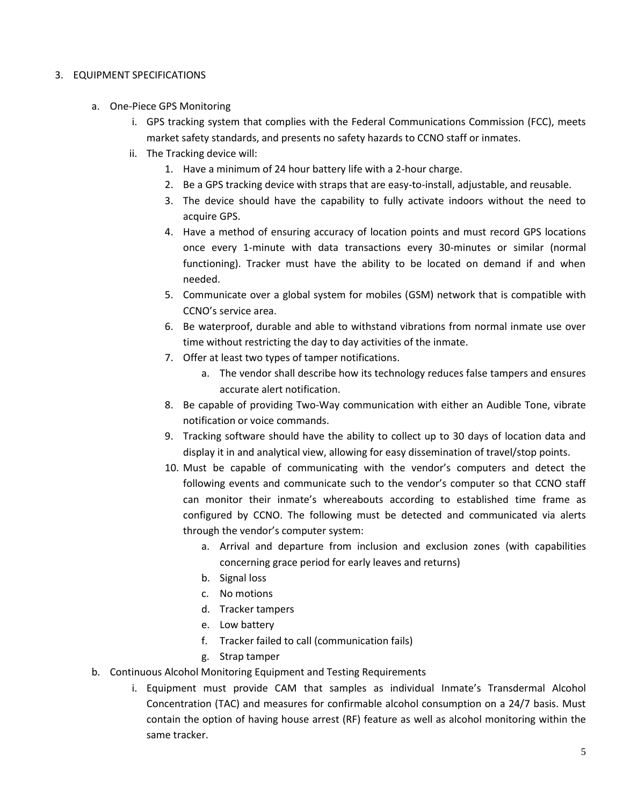### 3. EQUIPMENT SPECIFICATIONS

- a. One-Piece GPS Monitoring
	- i. GPS tracking system that complies with the Federal Communications Commission (FCC), meets market safety standards, and presents no safety hazards to CCNO staff or inmates.
	- ii. The Tracking device will:
		- 1. Have a minimum of 24 hour battery life with a 2-hour charge.
		- 2. Be a GPS tracking device with straps that are easy-to-install, adjustable, and reusable.
		- 3. The device should have the capability to fully activate indoors without the need to acquire GPS.
		- 4. Have a method of ensuring accuracy of location points and must record GPS locations once every 1-minute with data transactions every 30-minutes or similar (normal functioning). Tracker must have the ability to be located on demand if and when needed.
		- 5. Communicate over a global system for mobiles (GSM) network that is compatible with CCNO's service area.
		- 6. Be waterproof, durable and able to withstand vibrations from normal inmate use over time without restricting the day to day activities of the inmate.
		- 7. Offer at least two types of tamper notifications.
			- a. The vendor shall describe how its technology reduces false tampers and ensures accurate alert notification.
		- 8. Be capable of providing Two-Way communication with either an Audible Tone, vibrate notification or voice commands.
		- 9. Tracking software should have the ability to collect up to 30 days of location data and display it in and analytical view, allowing for easy dissemination of travel/stop points.
		- 10. Must be capable of communicating with the vendor's computers and detect the following events and communicate such to the vendor's computer so that CCNO staff can monitor their inmate's whereabouts according to established time frame as configured by CCNO. The following must be detected and communicated via alerts through the vendor's computer system:
			- a. Arrival and departure from inclusion and exclusion zones (with capabilities concerning grace period for early leaves and returns)
			- b. Signal loss
			- c. No motions
			- d. Tracker tampers
			- e. Low battery
			- f. Tracker failed to call (communication fails)
			- g. Strap tamper
- b. Continuous Alcohol Monitoring Equipment and Testing Requirements
	- i. Equipment must provide CAM that samples as individual Inmate's Transdermal Alcohol Concentration (TAC) and measures for confirmable alcohol consumption on a 24/7 basis. Must contain the option of having house arrest (RF) feature as well as alcohol monitoring within the same tracker.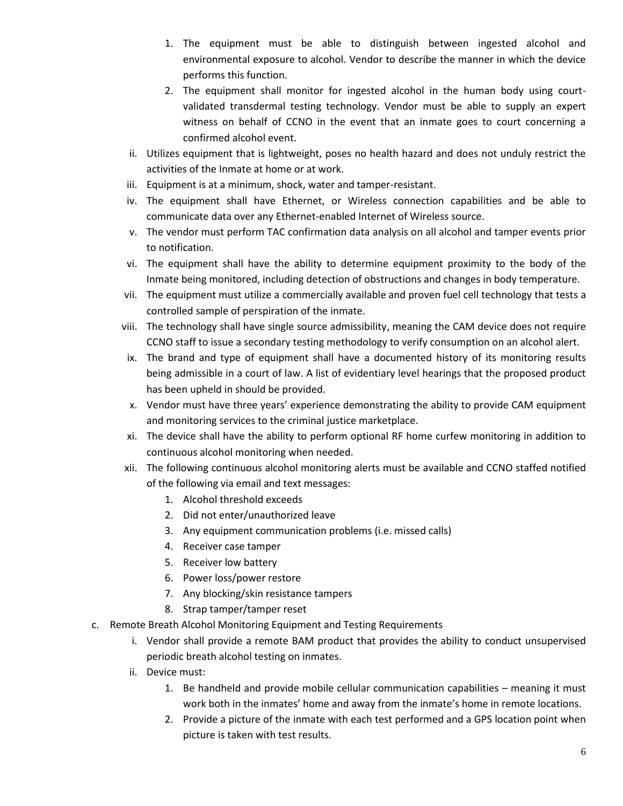- 1. The equipment must be able to distinguish between ingested alcohol and environmental exposure to alcohol. Vendor to describe the manner in which the device performs this function.
- 2. The equipment shall monitor for ingested alcohol in the human body using courtvalidated transdermal testing technology. Vendor must be able to supply an expert witness on behalf of CCNO in the event that an inmate goes to court concerning a confirmed alcohol event.
- ii. Utilizes equipment that is lightweight, poses no health hazard and does not unduly restrict the activities of the Inmate at home or at work.
- iii. Equipment is at a minimum, shock, water and tamper-resistant.
- iv. The equipment shall have Ethernet, or Wireless connection capabilities and be able to communicate data over any Ethernet-enabled Internet of Wireless source.
- v. The vendor must perform TAC confirmation data analysis on all alcohol and tamper events prior to notification.
- vi. The equipment shall have the ability to determine equipment proximity to the body of the Inmate being monitored, including detection of obstructions and changes in body temperature.
- vii. The equipment must utilize a commercially available and proven fuel cell technology that tests a controlled sample of perspiration of the inmate.
- viii. The technology shall have single source admissibility, meaning the CAM device does not require CCNO staff to issue a secondary testing methodology to verify consumption on an alcohol alert.
- ix. The brand and type of equipment shall have a documented history of its monitoring results being admissible in a court of law. A list of evidentiary level hearings that the proposed product has been upheld in should be provided.
- x. Vendor must have three years' experience demonstrating the ability to provide CAM equipment and monitoring services to the criminal justice marketplace.
- xi. The device shall have the ability to perform optional RF home curfew monitoring in addition to continuous alcohol monitoring when needed.
- xii. The following continuous alcohol monitoring alerts must be available and CCNO staffed notified of the following via email and text messages:
	- 1. Alcohol threshold exceeds
	- 2. Did not enter/unauthorized leave
	- 3. Any equipment communication problems (i.e. missed calls)
	- 4. Receiver case tamper
	- 5. Receiver low battery
	- 6. Power loss/power restore
	- 7. Any blocking/skin resistance tampers
	- 8. Strap tamper/tamper reset
- c. Remote Breath Alcohol Monitoring Equipment and Testing Requirements
	- i. Vendor shall provide a remote BAM product that provides the ability to conduct unsupervised periodic breath alcohol testing on inmates.
	- ii. Device must:
		- 1. Be handheld and provide mobile cellular communication capabilities meaning it must work both in the inmates' home and away from the inmate's home in remote locations.
		- 2. Provide a picture of the inmate with each test performed and a GPS location point when picture is taken with test results.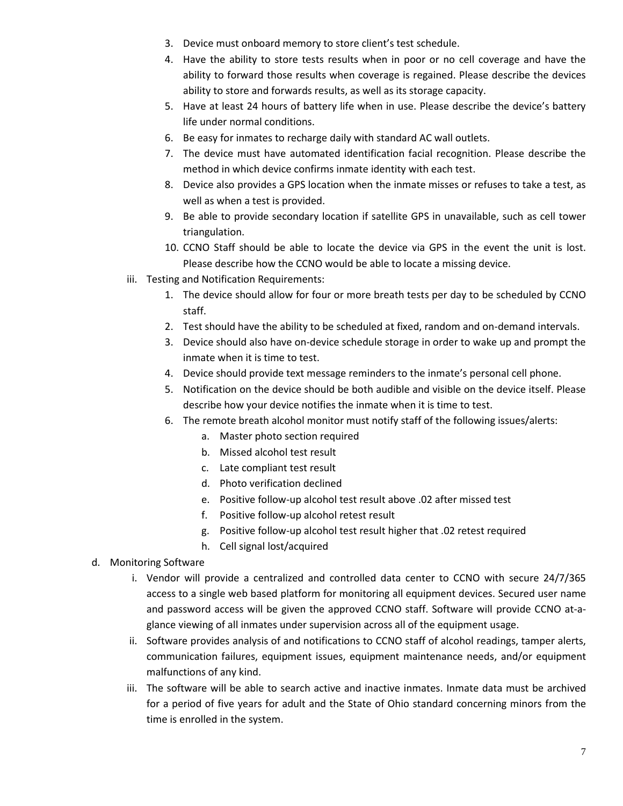- 3. Device must onboard memory to store client's test schedule.
- 4. Have the ability to store tests results when in poor or no cell coverage and have the ability to forward those results when coverage is regained. Please describe the devices ability to store and forwards results, as well as its storage capacity.
- 5. Have at least 24 hours of battery life when in use. Please describe the device's battery life under normal conditions.
- 6. Be easy for inmates to recharge daily with standard AC wall outlets.
- 7. The device must have automated identification facial recognition. Please describe the method in which device confirms inmate identity with each test.
- 8. Device also provides a GPS location when the inmate misses or refuses to take a test, as well as when a test is provided.
- 9. Be able to provide secondary location if satellite GPS in unavailable, such as cell tower triangulation.
- 10. CCNO Staff should be able to locate the device via GPS in the event the unit is lost. Please describe how the CCNO would be able to locate a missing device.
- iii. Testing and Notification Requirements:
	- 1. The device should allow for four or more breath tests per day to be scheduled by CCNO staff.
	- 2. Test should have the ability to be scheduled at fixed, random and on-demand intervals.
	- 3. Device should also have on-device schedule storage in order to wake up and prompt the inmate when it is time to test.
	- 4. Device should provide text message reminders to the inmate's personal cell phone.
	- 5. Notification on the device should be both audible and visible on the device itself. Please describe how your device notifies the inmate when it is time to test.
	- 6. The remote breath alcohol monitor must notify staff of the following issues/alerts:
		- a. Master photo section required
		- b. Missed alcohol test result
		- c. Late compliant test result
		- d. Photo verification declined
		- e. Positive follow-up alcohol test result above .02 after missed test
		- f. Positive follow-up alcohol retest result
		- g. Positive follow-up alcohol test result higher that .02 retest required
		- h. Cell signal lost/acquired
- d. Monitoring Software
	- i. Vendor will provide a centralized and controlled data center to CCNO with secure 24/7/365 access to a single web based platform for monitoring all equipment devices. Secured user name and password access will be given the approved CCNO staff. Software will provide CCNO at-aglance viewing of all inmates under supervision across all of the equipment usage.
	- ii. Software provides analysis of and notifications to CCNO staff of alcohol readings, tamper alerts, communication failures, equipment issues, equipment maintenance needs, and/or equipment malfunctions of any kind.
	- iii. The software will be able to search active and inactive inmates. Inmate data must be archived for a period of five years for adult and the State of Ohio standard concerning minors from the time is enrolled in the system.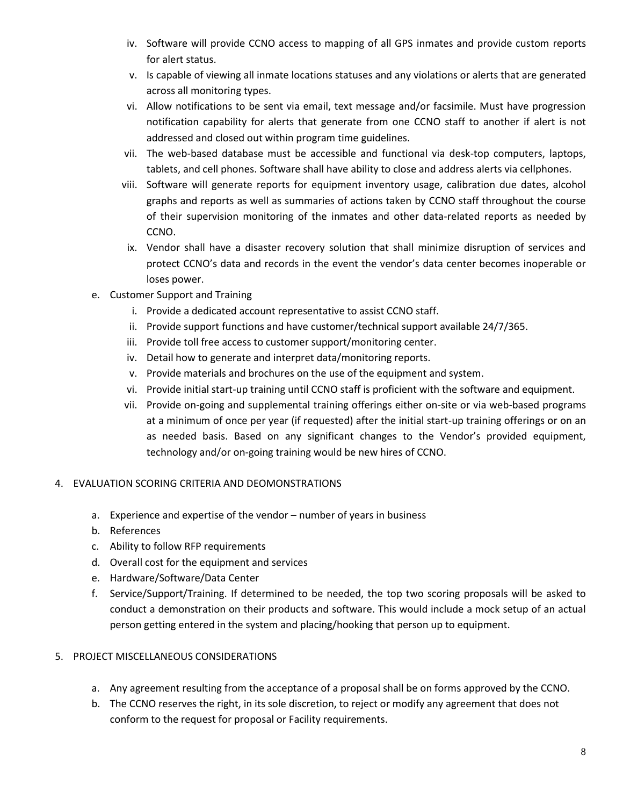- iv. Software will provide CCNO access to mapping of all GPS inmates and provide custom reports for alert status.
- v. Is capable of viewing all inmate locations statuses and any violations or alerts that are generated across all monitoring types.
- vi. Allow notifications to be sent via email, text message and/or facsimile. Must have progression notification capability for alerts that generate from one CCNO staff to another if alert is not addressed and closed out within program time guidelines.
- vii. The web-based database must be accessible and functional via desk-top computers, laptops, tablets, and cell phones. Software shall have ability to close and address alerts via cellphones.
- viii. Software will generate reports for equipment inventory usage, calibration due dates, alcohol graphs and reports as well as summaries of actions taken by CCNO staff throughout the course of their supervision monitoring of the inmates and other data-related reports as needed by CCNO.
- ix. Vendor shall have a disaster recovery solution that shall minimize disruption of services and protect CCNO's data and records in the event the vendor's data center becomes inoperable or loses power.
- e. Customer Support and Training
	- i. Provide a dedicated account representative to assist CCNO staff.
	- ii. Provide support functions and have customer/technical support available 24/7/365.
	- iii. Provide toll free access to customer support/monitoring center.
	- iv. Detail how to generate and interpret data/monitoring reports.
	- v. Provide materials and brochures on the use of the equipment and system.
	- vi. Provide initial start-up training until CCNO staff is proficient with the software and equipment.
	- vii. Provide on-going and supplemental training offerings either on-site or via web-based programs at a minimum of once per year (if requested) after the initial start-up training offerings or on an as needed basis. Based on any significant changes to the Vendor's provided equipment, technology and/or on-going training would be new hires of CCNO.

# 4. EVALUATION SCORING CRITERIA AND DEOMONSTRATIONS

- a. Experience and expertise of the vendor number of years in business
- b. References
- c. Ability to follow RFP requirements
- d. Overall cost for the equipment and services
- e. Hardware/Software/Data Center
- f. Service/Support/Training. If determined to be needed, the top two scoring proposals will be asked to conduct a demonstration on their products and software. This would include a mock setup of an actual person getting entered in the system and placing/hooking that person up to equipment.

# 5. PROJECT MISCELLANEOUS CONSIDERATIONS

- a. Any agreement resulting from the acceptance of a proposal shall be on forms approved by the CCNO.
- b. The CCNO reserves the right, in its sole discretion, to reject or modify any agreement that does not conform to the request for proposal or Facility requirements.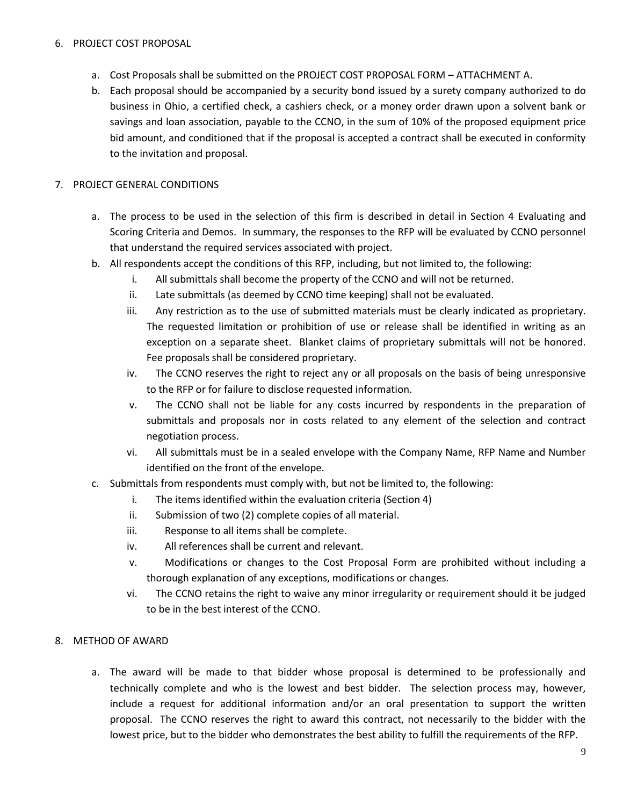#### 6. PROJECT COST PROPOSAL

- a. Cost Proposals shall be submitted on the PROJECT COST PROPOSAL FORM ATTACHMENT A.
- b. Each proposal should be accompanied by a security bond issued by a surety company authorized to do business in Ohio, a certified check, a cashiers check, or a money order drawn upon a solvent bank or savings and loan association, payable to the CCNO, in the sum of 10% of the proposed equipment price bid amount, and conditioned that if the proposal is accepted a contract shall be executed in conformity to the invitation and proposal.

### 7. PROJECT GENERAL CONDITIONS

- a. The process to be used in the selection of this firm is described in detail in Section 4 Evaluating and Scoring Criteria and Demos. In summary, the responses to the RFP will be evaluated by CCNO personnel that understand the required services associated with project.
- b. All respondents accept the conditions of this RFP, including, but not limited to, the following:
	- i. All submittals shall become the property of the CCNO and will not be returned.
	- ii. Late submittals (as deemed by CCNO time keeping) shall not be evaluated.
	- iii. Any restriction as to the use of submitted materials must be clearly indicated as proprietary. The requested limitation or prohibition of use or release shall be identified in writing as an exception on a separate sheet. Blanket claims of proprietary submittals will not be honored. Fee proposals shall be considered proprietary.
	- iv. The CCNO reserves the right to reject any or all proposals on the basis of being unresponsive to the RFP or for failure to disclose requested information.
	- v. The CCNO shall not be liable for any costs incurred by respondents in the preparation of submittals and proposals nor in costs related to any element of the selection and contract negotiation process.
	- vi. All submittals must be in a sealed envelope with the Company Name, RFP Name and Number identified on the front of the envelope.
- c. Submittals from respondents must comply with, but not be limited to, the following:
	- i. The items identified within the evaluation criteria (Section 4)
	- ii. Submission of two (2) complete copies of all material.
	- iii. Response to all items shall be complete.
	- iv. All references shall be current and relevant.
	- v. Modifications or changes to the Cost Proposal Form are prohibited without including a thorough explanation of any exceptions, modifications or changes.
	- vi. The CCNO retains the right to waive any minor irregularity or requirement should it be judged to be in the best interest of the CCNO.

#### 8. METHOD OF AWARD

a. The award will be made to that bidder whose proposal is determined to be professionally and technically complete and who is the lowest and best bidder. The selection process may, however, include a request for additional information and/or an oral presentation to support the written proposal. The CCNO reserves the right to award this contract, not necessarily to the bidder with the lowest price, but to the bidder who demonstrates the best ability to fulfill the requirements of the RFP.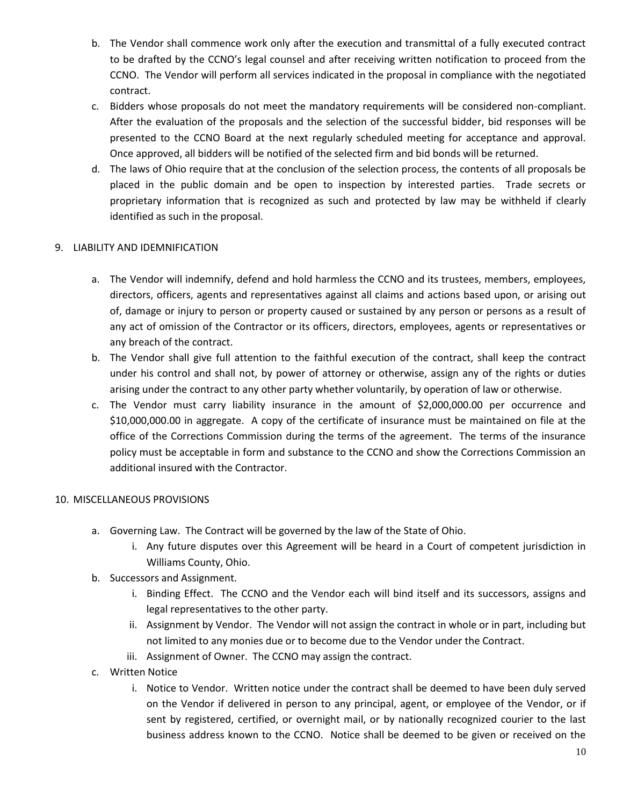- b. The Vendor shall commence work only after the execution and transmittal of a fully executed contract to be drafted by the CCNO's legal counsel and after receiving written notification to proceed from the CCNO. The Vendor will perform all services indicated in the proposal in compliance with the negotiated contract.
- c. Bidders whose proposals do not meet the mandatory requirements will be considered non-compliant. After the evaluation of the proposals and the selection of the successful bidder, bid responses will be presented to the CCNO Board at the next regularly scheduled meeting for acceptance and approval. Once approved, all bidders will be notified of the selected firm and bid bonds will be returned.
- d. The laws of Ohio require that at the conclusion of the selection process, the contents of all proposals be placed in the public domain and be open to inspection by interested parties. Trade secrets or proprietary information that is recognized as such and protected by law may be withheld if clearly identified as such in the proposal.

# 9. LIABILITY AND IDEMNIFICATION

- a. The Vendor will indemnify, defend and hold harmless the CCNO and its trustees, members, employees, directors, officers, agents and representatives against all claims and actions based upon, or arising out of, damage or injury to person or property caused or sustained by any person or persons as a result of any act of omission of the Contractor or its officers, directors, employees, agents or representatives or any breach of the contract.
- b. The Vendor shall give full attention to the faithful execution of the contract, shall keep the contract under his control and shall not, by power of attorney or otherwise, assign any of the rights or duties arising under the contract to any other party whether voluntarily, by operation of law or otherwise.
- c. The Vendor must carry liability insurance in the amount of \$2,000,000.00 per occurrence and \$10,000,000.00 in aggregate. A copy of the certificate of insurance must be maintained on file at the office of the Corrections Commission during the terms of the agreement. The terms of the insurance policy must be acceptable in form and substance to the CCNO and show the Corrections Commission an additional insured with the Contractor.

# 10. MISCELLANEOUS PROVISIONS

- a. Governing Law. The Contract will be governed by the law of the State of Ohio.
	- i. Any future disputes over this Agreement will be heard in a Court of competent jurisdiction in Williams County, Ohio.
- b. Successors and Assignment.
	- i. Binding Effect. The CCNO and the Vendor each will bind itself and its successors, assigns and legal representatives to the other party.
	- ii. Assignment by Vendor. The Vendor will not assign the contract in whole or in part, including but not limited to any monies due or to become due to the Vendor under the Contract.
	- iii. Assignment of Owner. The CCNO may assign the contract.
- c. Written Notice
	- i. Notice to Vendor. Written notice under the contract shall be deemed to have been duly served on the Vendor if delivered in person to any principal, agent, or employee of the Vendor, or if sent by registered, certified, or overnight mail, or by nationally recognized courier to the last business address known to the CCNO. Notice shall be deemed to be given or received on the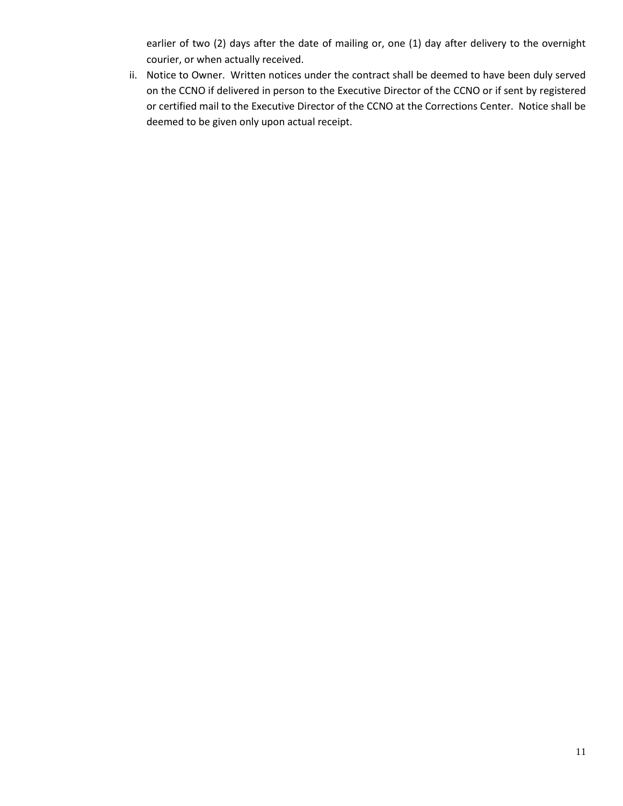earlier of two (2) days after the date of mailing or, one (1) day after delivery to the overnight courier, or when actually received.

ii. Notice to Owner. Written notices under the contract shall be deemed to have been duly served on the CCNO if delivered in person to the Executive Director of the CCNO or if sent by registered or certified mail to the Executive Director of the CCNO at the Corrections Center. Notice shall be deemed to be given only upon actual receipt.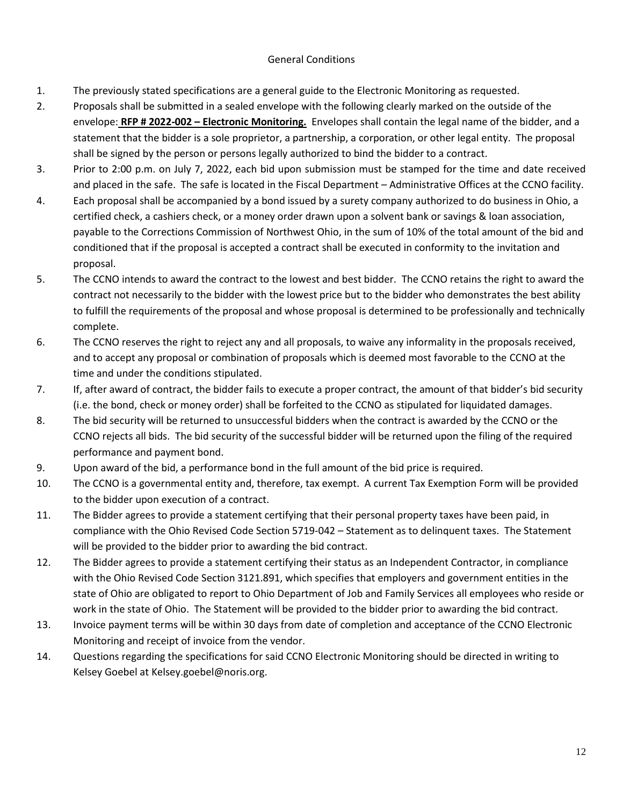### General Conditions

- 1. The previously stated specifications are a general guide to the Electronic Monitoring as requested.
- 2. Proposals shall be submitted in a sealed envelope with the following clearly marked on the outside of the envelope: **RFP # 2022-002 – Electronic Monitoring.** Envelopes shall contain the legal name of the bidder, and a statement that the bidder is a sole proprietor, a partnership, a corporation, or other legal entity. The proposal shall be signed by the person or persons legally authorized to bind the bidder to a contract.
- 3. Prior to 2:00 p.m. on July 7, 2022, each bid upon submission must be stamped for the time and date received and placed in the safe. The safe is located in the Fiscal Department – Administrative Offices at the CCNO facility.
- 4. Each proposal shall be accompanied by a bond issued by a surety company authorized to do business in Ohio, a certified check, a cashiers check, or a money order drawn upon a solvent bank or savings & loan association, payable to the Corrections Commission of Northwest Ohio, in the sum of 10% of the total amount of the bid and conditioned that if the proposal is accepted a contract shall be executed in conformity to the invitation and proposal.
- 5. The CCNO intends to award the contract to the lowest and best bidder. The CCNO retains the right to award the contract not necessarily to the bidder with the lowest price but to the bidder who demonstrates the best ability to fulfill the requirements of the proposal and whose proposal is determined to be professionally and technically complete.
- 6. The CCNO reserves the right to reject any and all proposals, to waive any informality in the proposals received, and to accept any proposal or combination of proposals which is deemed most favorable to the CCNO at the time and under the conditions stipulated.
- 7. If, after award of contract, the bidder fails to execute a proper contract, the amount of that bidder's bid security (i.e. the bond, check or money order) shall be forfeited to the CCNO as stipulated for liquidated damages.
- 8. The bid security will be returned to unsuccessful bidders when the contract is awarded by the CCNO or the CCNO rejects all bids. The bid security of the successful bidder will be returned upon the filing of the required performance and payment bond.
- 9. Upon award of the bid, a performance bond in the full amount of the bid price is required.
- 10. The CCNO is a governmental entity and, therefore, tax exempt. A current Tax Exemption Form will be provided to the bidder upon execution of a contract.
- 11. The Bidder agrees to provide a statement certifying that their personal property taxes have been paid, in compliance with the Ohio Revised Code Section 5719-042 – Statement as to delinquent taxes. The Statement will be provided to the bidder prior to awarding the bid contract.
- 12. The Bidder agrees to provide a statement certifying their status as an Independent Contractor, in compliance with the Ohio Revised Code Section 3121.891, which specifies that employers and government entities in the state of Ohio are obligated to report to Ohio Department of Job and Family Services all employees who reside or work in the state of Ohio. The Statement will be provided to the bidder prior to awarding the bid contract.
- 13. Invoice payment terms will be within 30 days from date of completion and acceptance of the CCNO Electronic Monitoring and receipt of invoice from the vendor.
- 14. Questions regarding the specifications for said CCNO Electronic Monitoring should be directed in writing to Kelsey Goebel at Kelsey.goebel@noris.org.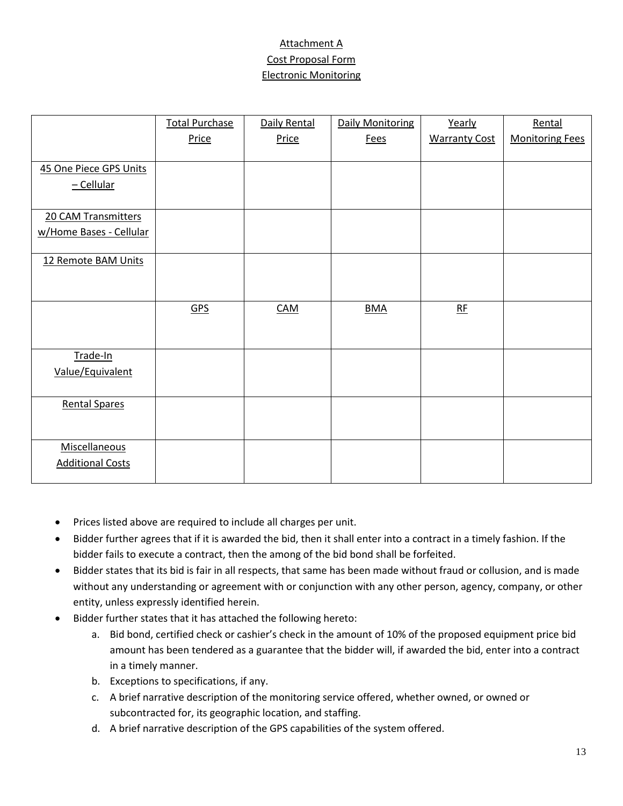# Attachment A Cost Proposal Form Electronic Monitoring

|                         | <b>Total Purchase</b> | Daily Rental | <b>Daily Monitoring</b> | Yearly               | Rental                 |
|-------------------------|-----------------------|--------------|-------------------------|----------------------|------------------------|
|                         | Price                 | Price        | <b>Fees</b>             | <b>Warranty Cost</b> | <b>Monitoring Fees</b> |
| 45 One Piece GPS Units  |                       |              |                         |                      |                        |
| $-Cellular$             |                       |              |                         |                      |                        |
|                         |                       |              |                         |                      |                        |
| 20 CAM Transmitters     |                       |              |                         |                      |                        |
| w/Home Bases - Cellular |                       |              |                         |                      |                        |
| 12 Remote BAM Units     |                       |              |                         |                      |                        |
|                         |                       |              |                         |                      |                        |
|                         | GPS                   | <b>CAM</b>   | <b>BMA</b>              | RE                   |                        |
|                         |                       |              |                         |                      |                        |
| Trade-In                |                       |              |                         |                      |                        |
| Value/Equivalent        |                       |              |                         |                      |                        |
| <b>Rental Spares</b>    |                       |              |                         |                      |                        |
|                         |                       |              |                         |                      |                        |
| Miscellaneous           |                       |              |                         |                      |                        |
| <b>Additional Costs</b> |                       |              |                         |                      |                        |

- Prices listed above are required to include all charges per unit.
- Bidder further agrees that if it is awarded the bid, then it shall enter into a contract in a timely fashion. If the bidder fails to execute a contract, then the among of the bid bond shall be forfeited.
- Bidder states that its bid is fair in all respects, that same has been made without fraud or collusion, and is made without any understanding or agreement with or conjunction with any other person, agency, company, or other entity, unless expressly identified herein.
- Bidder further states that it has attached the following hereto:
	- a. Bid bond, certified check or cashier's check in the amount of 10% of the proposed equipment price bid amount has been tendered as a guarantee that the bidder will, if awarded the bid, enter into a contract in a timely manner.
	- b. Exceptions to specifications, if any.
	- c. A brief narrative description of the monitoring service offered, whether owned, or owned or subcontracted for, its geographic location, and staffing.
	- d. A brief narrative description of the GPS capabilities of the system offered.